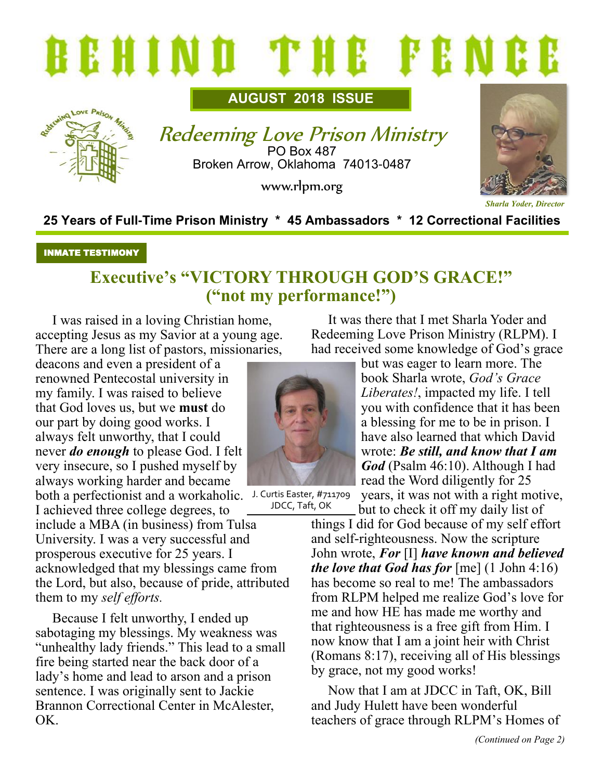

**AUGUST 2018 ISSUE**



Redeeming Love Prison Ministry PO Box 487 Broken Arrow, Oklahoma 74013-0487

www.rlpm.org



**25 Years of Full-Time Prison Ministry \* 45 Ambassadors \* 12 Correctional Facilities**

#### INMATE TESTIMONY

## **Executive's "VICTORY THROUGH GOD'S GRACE!" ("not my performance!")**

I was raised in a loving Christian home, accepting Jesus as my Savior at a young age. There are a long list of pastors, missionaries,

deacons and even a president of a renowned Pentecostal university in my family. I was raised to believe that God loves us, but we **must** do our part by doing good works. I always felt unworthy, that I could never *do enough* to please God. I felt very insecure, so I pushed myself by always working harder and became

both a perfectionist and a workaholic. J. Curtis Easter, #711709 I achieved three college degrees, to

include a MBA (in business) from Tulsa University. I was a very successful and prosperous executive for 25 years. I acknowledged that my blessings came from the Lord, but also, because of pride, attributed them to my *self efforts.*

Because I felt unworthy, I ended up sabotaging my blessings. My weakness was "unhealthy lady friends." This lead to a small fire being started near the back door of a lady's home and lead to arson and a prison sentence. I was originally sent to Jackie Brannon Correctional Center in McAlester, OK.



JDCC, Taft, OK

It was there that I met Sharla Yoder and Redeeming Love Prison Ministry (RLPM). I had received some knowledge of God's grace

> but was eager to learn more. The book Sharla wrote, *God's Grace Liberates!*, impacted my life. I tell you with confidence that it has been a blessing for me to be in prison. I have also learned that which David wrote: *Be still, and know that I am God* (Psalm 46:10). Although I had read the Word diligently for 25 years, it was not with a right motive,

but to check it off my daily list of

things I did for God because of my self effort and self-righteousness. Now the scripture John wrote, *For* [I] *have known and believed the love that God has for* [me] (1 John 4:16) has become so real to me! The ambassadors from RLPM helped me realize God's love for me and how HE has made me worthy and that righteousness is a free gift from Him. I now know that I am a joint heir with Christ (Romans 8:17), receiving all of His blessings by grace, not my good works!

Now that I am at JDCC in Taft, OK, Bill and Judy Hulett have been wonderful teachers of grace through RLPM's Homes of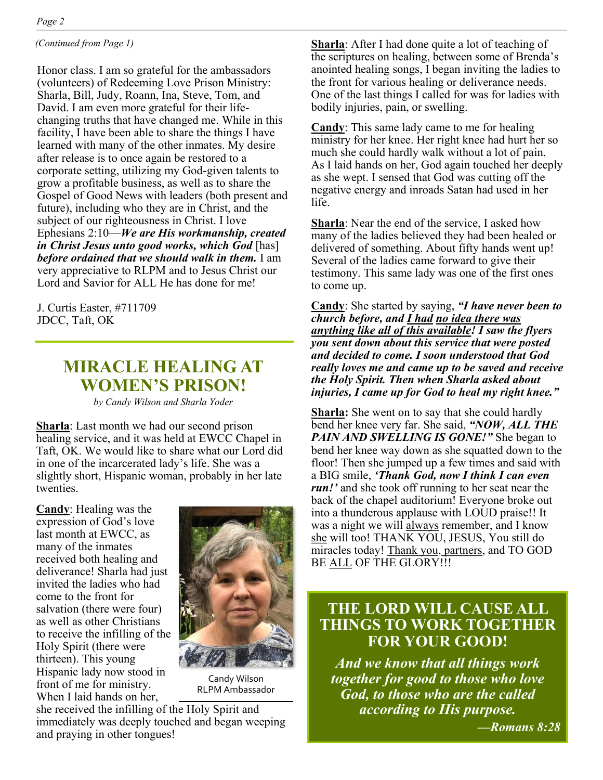*(Continued from Page 1)*

Honor class. I am so grateful for the ambassadors (volunteers) of Redeeming Love Prison Ministry: Sharla, Bill, Judy, Roann, Ina, Steve, Tom, and David. I am even more grateful for their lifechanging truths that have changed me. While in this facility, I have been able to share the things I have learned with many of the other inmates. My desire after release is to once again be restored to a corporate setting, utilizing my God-given talents to grow a profitable business, as well as to share the Gospel of Good News with leaders (both present and future), including who they are in Christ, and the subject of our righteousness in Christ. I love Ephesians 2:10—*We are His workmanship, created in Christ Jesus unto good works, which God* [has] *before ordained that we should walk in them.* I am very appreciative to RLPM and to Jesus Christ our Lord and Savior for ALL He has done for me!

J. Curtis Easter, #711709 JDCC, Taft, OK

### **MIRACLE HEALING AT WOMEN'S PRISON!**

*by Candy Wilson and Sharla Yoder*

**Sharla**: Last month we had our second prison healing service, and it was held at EWCC Chapel in Taft, OK. We would like to share what our Lord did in one of the incarcerated lady's life. She was a slightly short, Hispanic woman, probably in her late twenties.

**Candy**: Healing was the expression of God's love last month at EWCC, as many of the inmates received both healing and deliverance! Sharla had just invited the ladies who had come to the front for salvation (there were four) as well as other Christians to receive the infilling of the Holy Spirit (there were thirteen). This young Hispanic lady now stood in front of me for ministry. When I laid hands on her,



Candy Wilson RLPM Ambassador

she received the infilling of the Holy Spirit and immediately was deeply touched and began weeping and praying in other tongues!

**Sharla**: After I had done quite a lot of teaching of the scriptures on healing, between some of Brenda's anointed healing songs, I began inviting the ladies to the front for various healing or deliverance needs. One of the last things I called for was for ladies with bodily injuries, pain, or swelling.

**Candy**: This same lady came to me for healing ministry for her knee. Her right knee had hurt her so much she could hardly walk without a lot of pain. As I laid hands on her, God again touched her deeply as she wept. I sensed that God was cutting off the negative energy and inroads Satan had used in her life.

**Sharla**: Near the end of the service, I asked how many of the ladies believed they had been healed or delivered of something. About fifty hands went up! Several of the ladies came forward to give their testimony. This same lady was one of the first ones to come up.

**Candy**: She started by saying, *"I have never been to church before, and I had no idea there was anything like all of this available! I saw the flyers you sent down about this service that were posted and decided to come. I soon understood that God really loves me and came up to be saved and receive the Holy Spirit. Then when Sharla asked about injuries, I came up for God to heal my right knee."* 

**Sharla:** She went on to say that she could hardly bend her knee very far. She said, *"NOW, ALL THE PAIN AND SWELLING IS GONE!"* She began to bend her knee way down as she squatted down to the floor! Then she jumped up a few times and said with a BIG smile, *'Thank God, now I think I can even run!'* and she took off running to her seat near the back of the chapel auditorium! Everyone broke out into a thunderous applause with LOUD praise!! It was a night we will always remember, and I know she will too! THANK YOU, JESUS, You still do miracles today! Thank you, partners, and TO GOD BE ALL OF THE GLORY!!!

#### **THE LORD WILL CAUSE ALL THINGS TO WORK TOGETHER FOR YOUR GOOD!**

*And we know that all things work together for good to those who love God, to those who are the called according to His purpose.* 

*—Romans 8:28*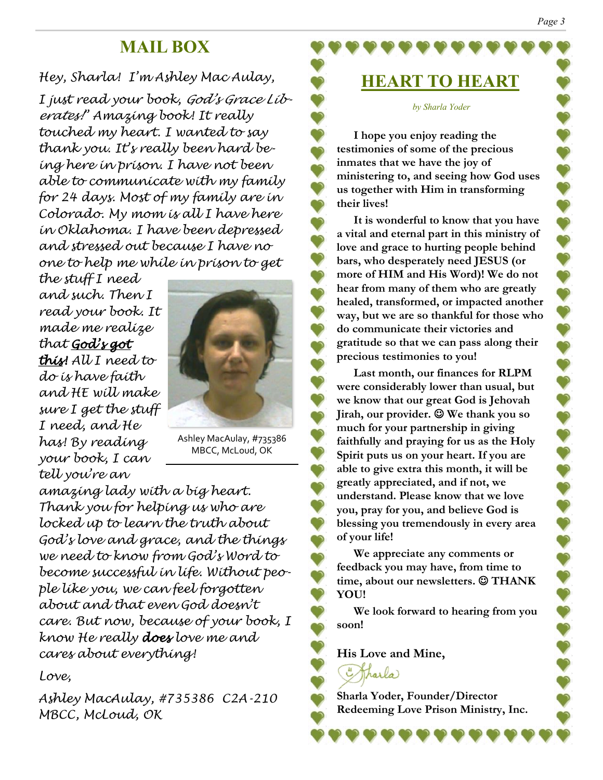## **MAIL BOX**

#### *Hey, Sharla! I'm Ashley Mac Aulay,*

*I just read your book, God's Grace Liberates!" Amazing book! It really touched my heart. I wanted to say thank you. It's really been hard being here in prison. I have not been able to communicate with my family for 24 days. Most of my family are in Colorado. My mom is all I have here in Oklahoma. I have been depressed and stressed out because I have no one to help me while in prison to get* 

*the stuff I need and such. Then I read your book. It made me realize that God's got this! All I need to do is have faith and HE will make sure I get the stuff I need, and He has! By reading your book, I can tell you're an* 



Ashley MacAulay, #735386 MBCC, McLoud, OK

*amazing lady with a big heart. Thank you for helping us who are locked up to learn the truth about God's love and grace, and the things we need to know from God's Word to become successful in life. Without people like you, we can feel forgotten about and that even God doesn't care. But now, because of your book, I know He really does love me and cares about everything!*

*Love,* 

*Ashley MacAulay, #735386 C2A-210 MBCC, McLoud, OK*

# **HEART TO HEART**

#### *by Sharla Yoder*

**I hope you enjoy reading the testimonies of some of the precious inmates that we have the joy of ministering to, and seeing how God uses us together with Him in transforming their lives!**

**It is wonderful to know that you have a vital and eternal part in this ministry of love and grace to hurting people behind bars, who desperately need JESUS (or more of HIM and His Word)! We do not hear from many of them who are greatly healed, transformed, or impacted another way, but we are so thankful for those who do communicate their victories and gratitude so that we can pass along their precious testimonies to you!**

**Last month, our finances for RLPM were considerably lower than usual, but we know that our great God is Jehovah Jirah, our provider.** ☺ **We thank you so much for your partnership in giving faithfully and praying for us as the Holy Spirit puts us on your heart. If you are able to give extra this month, it will be greatly appreciated, and if not, we understand. Please know that we love you, pray for you, and believe God is blessing you tremendously in every area of your life!**

**We appreciate any comments or feedback you may have, from time to time, about our newsletters.** ☺ **THANK YOU!**

**We look forward to hearing from you soon!**

**His Love and Mine,**



**Sharla Yoder, Founder/Director Redeeming Love Prison Ministry, Inc.**